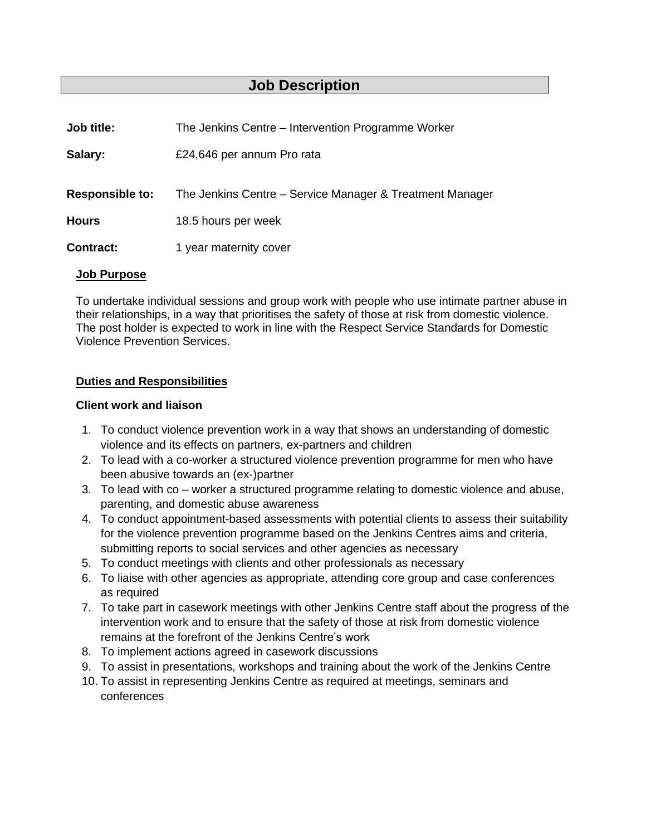# **Job Description**

| Job title:             | The Jenkins Centre – Intervention Programme Worker       |
|------------------------|----------------------------------------------------------|
| Salary:                | £24,646 per annum Pro rata                               |
| <b>Responsible to:</b> | The Jenkins Centre – Service Manager & Treatment Manager |
| <b>Hours</b>           | 18.5 hours per week                                      |
| <b>Contract:</b>       | 1 year maternity cover                                   |
|                        |                                                          |

### **Job Purpose**

To undertake individual sessions and group work with people who use intimate partner abuse in their relationships, in a way that prioritises the safety of those at risk from domestic violence. The post holder is expected to work in line with the Respect Service Standards for Domestic Violence Prevention Services.

#### **Duties and Responsibilities**

#### **Client work and liaison**

- 1. To conduct violence prevention work in a way that shows an understanding of domestic violence and its effects on partners, ex-partners and children
- 2. To lead with a co-worker a structured violence prevention programme for men who have been abusive towards an (ex-)partner
- 3. To lead with co worker a structured programme relating to domestic violence and abuse, parenting, and domestic abuse awareness
- 4. To conduct appointment-based assessments with potential clients to assess their suitability for the violence prevention programme based on the Jenkins Centres aims and criteria, submitting reports to social services and other agencies as necessary
- 5. To conduct meetings with clients and other professionals as necessary
- 6. To liaise with other agencies as appropriate, attending core group and case conferences as required
- 7. To take part in casework meetings with other Jenkins Centre staff about the progress of the intervention work and to ensure that the safety of those at risk from domestic violence remains at the forefront of the Jenkins Centre's work
- 8. To implement actions agreed in casework discussions
- 9. To assist in presentations, workshops and training about the work of the Jenkins Centre
- 10. To assist in representing Jenkins Centre as required at meetings, seminars and conferences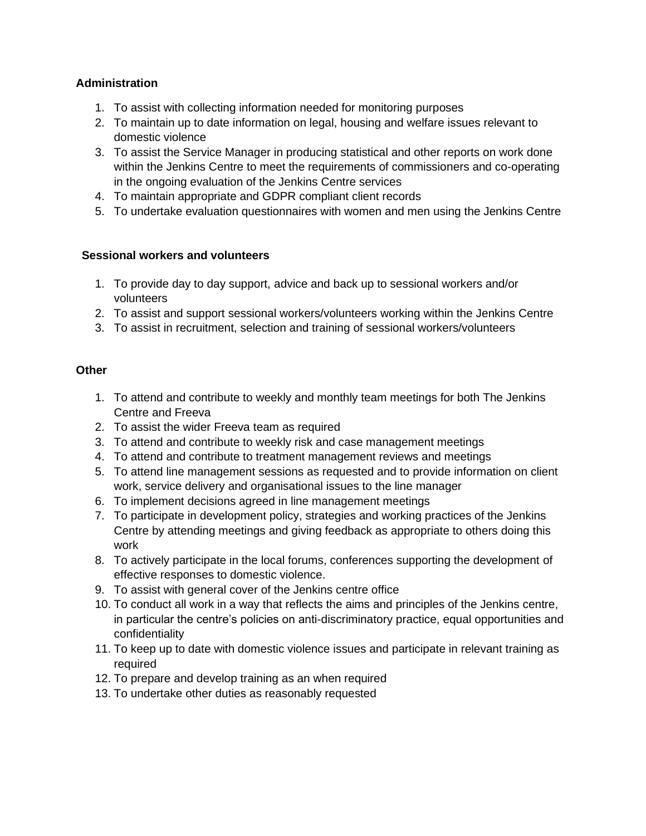# **Administration**

- 1. To assist with collecting information needed for monitoring purposes
- 2. To maintain up to date information on legal, housing and welfare issues relevant to domestic violence
- 3. To assist the Service Manager in producing statistical and other reports on work done within the Jenkins Centre to meet the requirements of commissioners and co-operating in the ongoing evaluation of the Jenkins Centre services
- 4. To maintain appropriate and GDPR compliant client records
- 5. To undertake evaluation questionnaires with women and men using the Jenkins Centre

## **Sessional workers and volunteers**

- 1. To provide day to day support, advice and back up to sessional workers and/or volunteers
- 2. To assist and support sessional workers/volunteers working within the Jenkins Centre
- 3. To assist in recruitment, selection and training of sessional workers/volunteers

#### **Other**

- 1. To attend and contribute to weekly and monthly team meetings for both The Jenkins Centre and Freeva
- 2. To assist the wider Freeva team as required
- 3. To attend and contribute to weekly risk and case management meetings
- 4. To attend and contribute to treatment management reviews and meetings
- 5. To attend line management sessions as requested and to provide information on client work, service delivery and organisational issues to the line manager
- 6. To implement decisions agreed in line management meetings
- 7. To participate in development policy, strategies and working practices of the Jenkins Centre by attending meetings and giving feedback as appropriate to others doing this work
- 8. To actively participate in the local forums, conferences supporting the development of effective responses to domestic violence.
- 9. To assist with general cover of the Jenkins centre office
- 10. To conduct all work in a way that reflects the aims and principles of the Jenkins centre, in particular the centre's policies on anti-discriminatory practice, equal opportunities and confidentiality
- 11. To keep up to date with domestic violence issues and participate in relevant training as required
- 12. To prepare and develop training as an when required
- 13. To undertake other duties as reasonably requested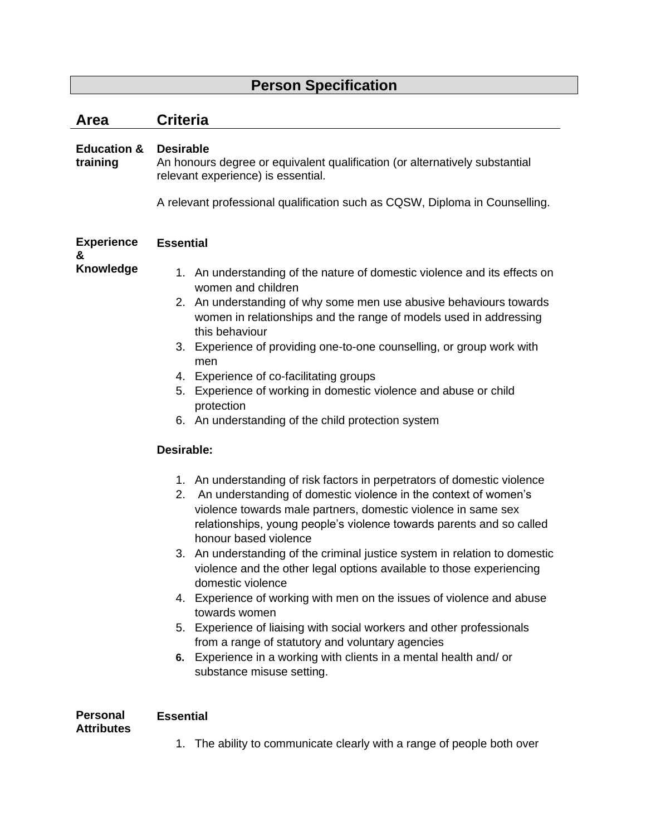# **Person Specification**

| Area                                 | <b>Criteria</b>                                                                                                                                                                                                                                                                                                                                                                                                                                                                                                                                                                                                                                                                                                                                                                                                                                                                                                                                                                                                                                                                                                                                                                                                                                                                                                                                                                    |  |
|--------------------------------------|------------------------------------------------------------------------------------------------------------------------------------------------------------------------------------------------------------------------------------------------------------------------------------------------------------------------------------------------------------------------------------------------------------------------------------------------------------------------------------------------------------------------------------------------------------------------------------------------------------------------------------------------------------------------------------------------------------------------------------------------------------------------------------------------------------------------------------------------------------------------------------------------------------------------------------------------------------------------------------------------------------------------------------------------------------------------------------------------------------------------------------------------------------------------------------------------------------------------------------------------------------------------------------------------------------------------------------------------------------------------------------|--|
| <b>Education &amp;</b><br>training   | <b>Desirable</b><br>An honours degree or equivalent qualification (or alternatively substantial<br>relevant experience) is essential.<br>A relevant professional qualification such as CQSW, Diploma in Counselling.                                                                                                                                                                                                                                                                                                                                                                                                                                                                                                                                                                                                                                                                                                                                                                                                                                                                                                                                                                                                                                                                                                                                                               |  |
| <b>Experience</b>                    | <b>Essential</b>                                                                                                                                                                                                                                                                                                                                                                                                                                                                                                                                                                                                                                                                                                                                                                                                                                                                                                                                                                                                                                                                                                                                                                                                                                                                                                                                                                   |  |
| &<br>Knowledge                       | 1. An understanding of the nature of domestic violence and its effects on<br>women and children<br>2. An understanding of why some men use abusive behaviours towards<br>women in relationships and the range of models used in addressing<br>this behaviour<br>Experience of providing one-to-one counselling, or group work with<br>3.<br>men<br>4. Experience of co-facilitating groups<br>Experience of working in domestic violence and abuse or child<br>5.<br>protection<br>6. An understanding of the child protection system<br>Desirable:<br>1. An understanding of risk factors in perpetrators of domestic violence<br>An understanding of domestic violence in the context of women's<br>2.<br>violence towards male partners, domestic violence in same sex<br>relationships, young people's violence towards parents and so called<br>honour based violence<br>3. An understanding of the criminal justice system in relation to domestic<br>violence and the other legal options available to those experiencing<br>domestic violence<br>4. Experience of working with men on the issues of violence and abuse<br>towards women<br>5. Experience of liaising with social workers and other professionals<br>from a range of statutory and voluntary agencies<br>Experience in a working with clients in a mental health and/ or<br>6.<br>substance misuse setting. |  |
| <b>Personal</b><br><b>Attributes</b> | <b>Essential</b>                                                                                                                                                                                                                                                                                                                                                                                                                                                                                                                                                                                                                                                                                                                                                                                                                                                                                                                                                                                                                                                                                                                                                                                                                                                                                                                                                                   |  |
|                                      | The ability to communicate clearly with a range of people both over<br>1.                                                                                                                                                                                                                                                                                                                                                                                                                                                                                                                                                                                                                                                                                                                                                                                                                                                                                                                                                                                                                                                                                                                                                                                                                                                                                                          |  |